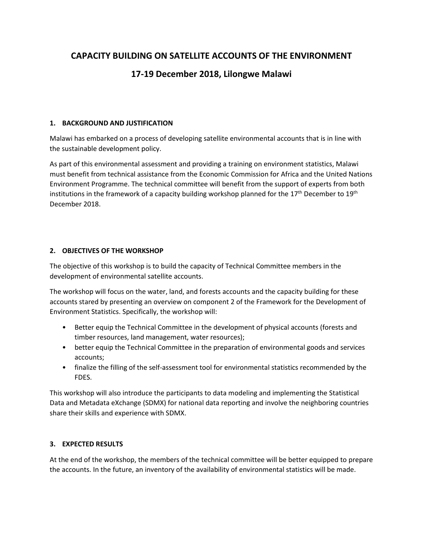# **CAPACITY BUILDING ON SATELLITE ACCOUNTS OF THE ENVIRONMENT**

# **17-19 December 2018, Lilongwe Malawi**

## **1. BACKGROUND AND JUSTIFICATION**

Malawi has embarked on a process of developing satellite environmental accounts that is in line with the sustainable development policy.

As part of this environmental assessment and providing a training on environment statistics, Malawi must benefit from technical assistance from the Economic Commission for Africa and the United Nations Environment Programme. The technical committee will benefit from the support of experts from both institutions in the framework of a capacity building workshop planned for the 17<sup>th</sup> December to 19<sup>th</sup> December 2018.

### **2. OBJECTIVES OF THE WORKSHOP**

The objective of this workshop is to build the capacity of Technical Committee members in the development of environmental satellite accounts.

The workshop will focus on the water, land, and forests accounts and the capacity building for these accounts stared by presenting an overview on component 2 of the Framework for the Development of Environment Statistics. Specifically, the workshop will:

- Better equip the Technical Committee in the development of physical accounts (forests and timber resources, land management, water resources);
- better equip the Technical Committee in the preparation of environmental goods and services accounts;
- finalize the filling of the self-assessment tool for environmental statistics recommended by the FDES.

This workshop will also introduce the participants to data modeling and implementing the Statistical Data and Metadata eXchange (SDMX) for national data reporting and involve the neighboring countries share their skills and experience with SDMX.

## **3. EXPECTED RESULTS**

At the end of the workshop, the members of the technical committee will be better equipped to prepare the accounts. In the future, an inventory of the availability of environmental statistics will be made.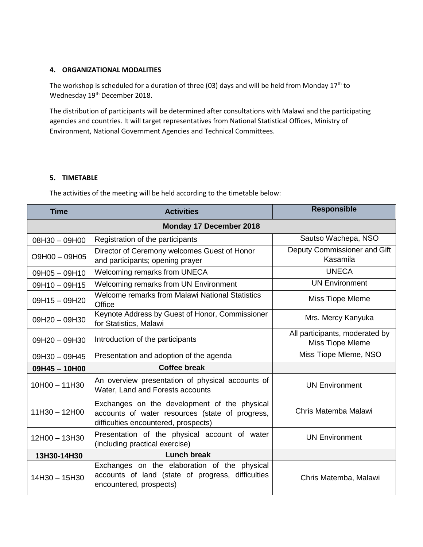### **4. ORGANIZATIONAL MODALITIES**

The workshop is scheduled for a duration of three (03) days and will be held from Monday 17<sup>th</sup> to Wednesday 19<sup>th</sup> December 2018.

The distribution of participants will be determined after consultations with Malawi and the participating agencies and countries. It will target representatives from National Statistical Offices, Ministry of Environment, National Government Agencies and Technical Committees.

### **5. TIMETABLE**

The activities of the meeting will be held according to the timetable below:

| <b>Time</b>             | <b>Activities</b>                                                                                                                       | <b>Responsible</b>                                 |
|-------------------------|-----------------------------------------------------------------------------------------------------------------------------------------|----------------------------------------------------|
| Monday 17 December 2018 |                                                                                                                                         |                                                    |
| 08H30 - 09H00           | Registration of the participants                                                                                                        | Sautso Wachepa, NSO                                |
| O9H00 - 09H05           | Director of Ceremony welcomes Guest of Honor<br>and participants; opening prayer                                                        | Deputy Commissioner and Gift<br>Kasamila           |
| $09H05 - 09H10$         | Welcoming remarks from UNECA                                                                                                            | <b>UNECA</b>                                       |
| $09H10 - 09H15$         | Welcoming remarks from UN Environment                                                                                                   | <b>UN Environment</b>                              |
| 09H15-09H20             | Welcome remarks from Malawi National Statistics<br>Office                                                                               | Miss Tiope Mleme                                   |
| 09H20 - 09H30           | Keynote Address by Guest of Honor, Commissioner<br>for Statistics, Malawi                                                               | Mrs. Mercy Kanyuka                                 |
| $09H20 - 09H30$         | Introduction of the participants                                                                                                        | All participants, moderated by<br>Miss Tiope Mleme |
| 09H30 - 09H45           | Presentation and adoption of the agenda                                                                                                 | Miss Tiope Mleme, NSO                              |
| 09H45-10H00             | Coffee break                                                                                                                            |                                                    |
| $10H00 - 11H30$         | An overview presentation of physical accounts of<br>Water, Land and Forests accounts                                                    | <b>UN Environment</b>                              |
| $11H30 - 12H00$         | Exchanges on the development of the physical<br>accounts of water resources (state of progress,<br>difficulties encountered, prospects) | Chris Matemba Malawi                               |
| 12H00 - 13H30           | Presentation of the physical account of water<br>(including practical exercise)                                                         | <b>UN Environment</b>                              |
| 13H30-14H30             | Lunch break                                                                                                                             |                                                    |
| 14H30 - 15H30           | Exchanges on the elaboration of the physical<br>accounts of land (state of progress, difficulties<br>encountered, prospects)            | Chris Matemba, Malawi                              |